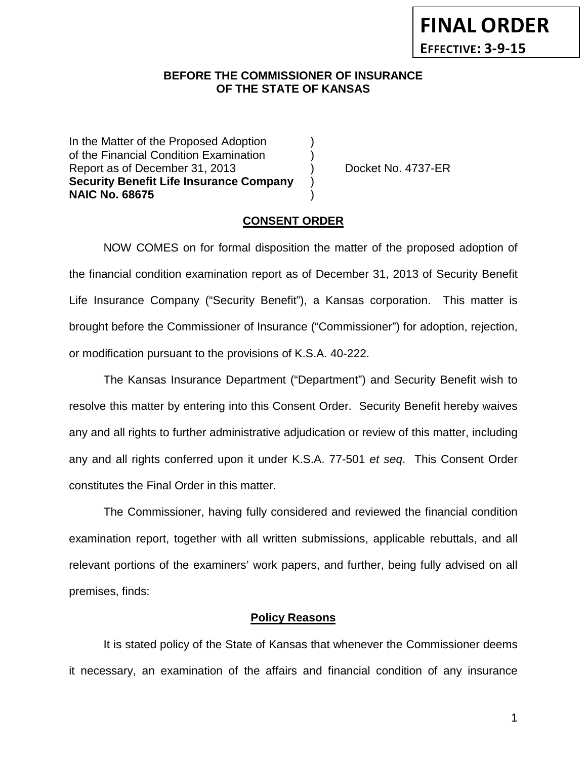#### **BEFORE THE COMMISSIONER OF INSURANCE OF THE STATE OF KANSAS**

In the Matter of the Proposed Adoption of the Financial Condition Examination ) Report as of December 31, 2013 (a) Docket No. 4737-ER **Security Benefit Life Insurance Company** ) **NAIC No. 68675** )

#### **CONSENT ORDER**

NOW COMES on for formal disposition the matter of the proposed adoption of the financial condition examination report as of December 31, 2013 of Security Benefit Life Insurance Company ("Security Benefit"), a Kansas corporation. This matter is brought before the Commissioner of Insurance ("Commissioner") for adoption, rejection, or modification pursuant to the provisions of K.S.A. 40-222.

The Kansas Insurance Department ("Department") and Security Benefit wish to resolve this matter by entering into this Consent Order. Security Benefit hereby waives any and all rights to further administrative adjudication or review of this matter, including any and all rights conferred upon it under K.S.A. 77-501 *et seq*. This Consent Order constitutes the Final Order in this matter.

The Commissioner, having fully considered and reviewed the financial condition examination report, together with all written submissions, applicable rebuttals, and all relevant portions of the examiners' work papers, and further, being fully advised on all premises, finds:

#### **Policy Reasons**

It is stated policy of the State of Kansas that whenever the Commissioner deems it necessary, an examination of the affairs and financial condition of any insurance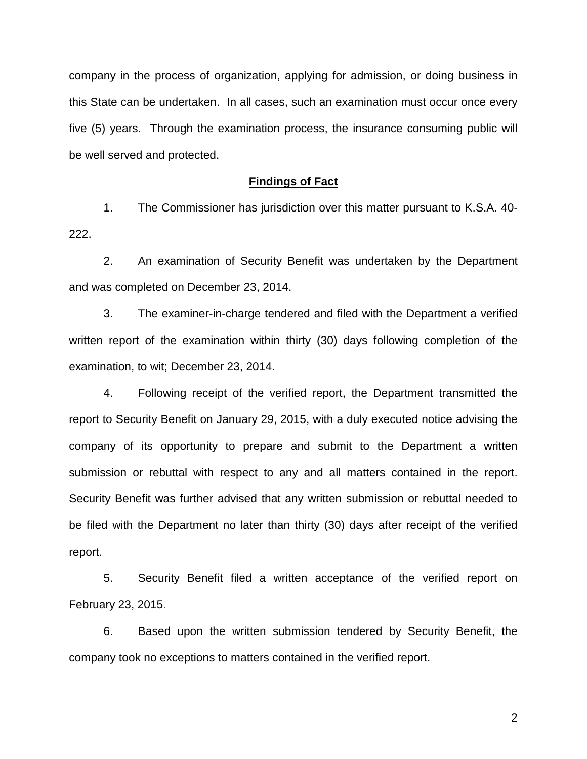company in the process of organization, applying for admission, or doing business in this State can be undertaken. In all cases, such an examination must occur once every five (5) years. Through the examination process, the insurance consuming public will be well served and protected.

#### **Findings of Fact**

1. The Commissioner has jurisdiction over this matter pursuant to K.S.A. 40- 222.

2. An examination of Security Benefit was undertaken by the Department and was completed on December 23, 2014.

3. The examiner-in-charge tendered and filed with the Department a verified written report of the examination within thirty (30) days following completion of the examination, to wit; December 23, 2014.

4. Following receipt of the verified report, the Department transmitted the report to Security Benefit on January 29, 2015, with a duly executed notice advising the company of its opportunity to prepare and submit to the Department a written submission or rebuttal with respect to any and all matters contained in the report. Security Benefit was further advised that any written submission or rebuttal needed to be filed with the Department no later than thirty (30) days after receipt of the verified report.

5. Security Benefit filed a written acceptance of the verified report on February 23, 2015.

6. Based upon the written submission tendered by Security Benefit, the company took no exceptions to matters contained in the verified report.

2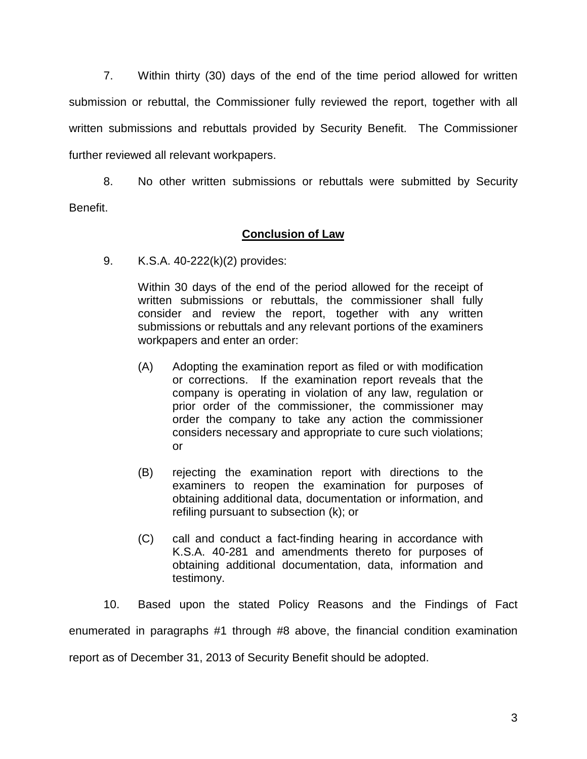7. Within thirty (30) days of the end of the time period allowed for written submission or rebuttal, the Commissioner fully reviewed the report, together with all written submissions and rebuttals provided by Security Benefit. The Commissioner further reviewed all relevant workpapers.

8. No other written submissions or rebuttals were submitted by Security Benefit.

### **Conclusion of Law**

9. K.S.A. 40-222(k)(2) provides:

Within 30 days of the end of the period allowed for the receipt of written submissions or rebuttals, the commissioner shall fully consider and review the report, together with any written submissions or rebuttals and any relevant portions of the examiners workpapers and enter an order:

- (A) Adopting the examination report as filed or with modification or corrections. If the examination report reveals that the company is operating in violation of any law, regulation or prior order of the commissioner, the commissioner may order the company to take any action the commissioner considers necessary and appropriate to cure such violations; or
- (B) rejecting the examination report with directions to the examiners to reopen the examination for purposes of obtaining additional data, documentation or information, and refiling pursuant to subsection (k); or
- (C) call and conduct a fact-finding hearing in accordance with K.S.A. 40-281 and amendments thereto for purposes of obtaining additional documentation, data, information and testimony.

10. Based upon the stated Policy Reasons and the Findings of Fact enumerated in paragraphs #1 through #8 above, the financial condition examination report as of December 31, 2013 of Security Benefit should be adopted.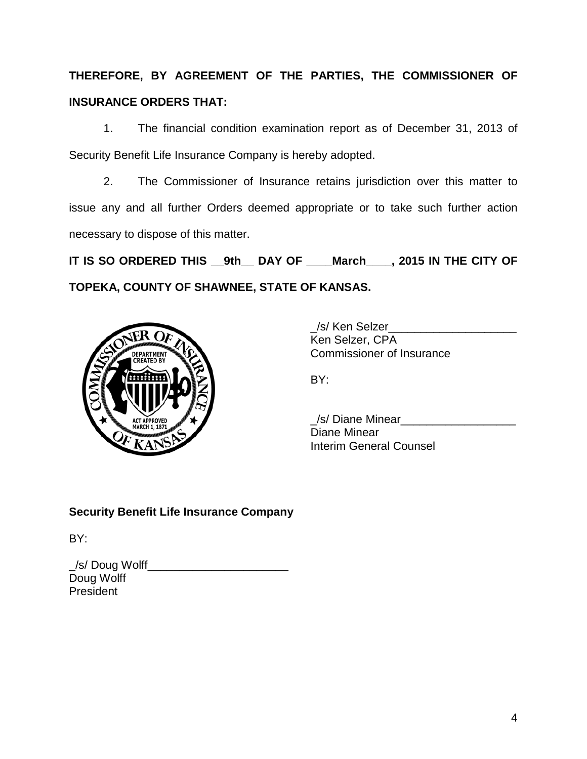# **THEREFORE, BY AGREEMENT OF THE PARTIES, THE COMMISSIONER OF INSURANCE ORDERS THAT:**

1. The financial condition examination report as of December 31, 2013 of Security Benefit Life Insurance Company is hereby adopted.

2. The Commissioner of Insurance retains jurisdiction over this matter to issue any and all further Orders deemed appropriate or to take such further action necessary to dispose of this matter.

**IT IS SO ORDERED THIS \_\_9th\_\_ DAY OF \_\_\_\_March\_\_\_\_, 2015 IN THE CITY OF TOPEKA, COUNTY OF SHAWNEE, STATE OF KANSAS.**



\_/s/ Ken Selzer\_\_\_\_\_\_\_\_\_\_\_\_\_\_\_\_\_\_\_\_ Ken Selzer, CPA Commissioner of Insurance

BY:

\_/s/ Diane Minear\_\_\_\_\_\_\_\_\_\_\_\_\_\_\_\_\_\_ Diane Minear Interim General Counsel

## **Security Benefit Life Insurance Company**

BY:

| _/s/ Doug Wolff_ |  |
|------------------|--|
| Doug Wolff       |  |
| President        |  |